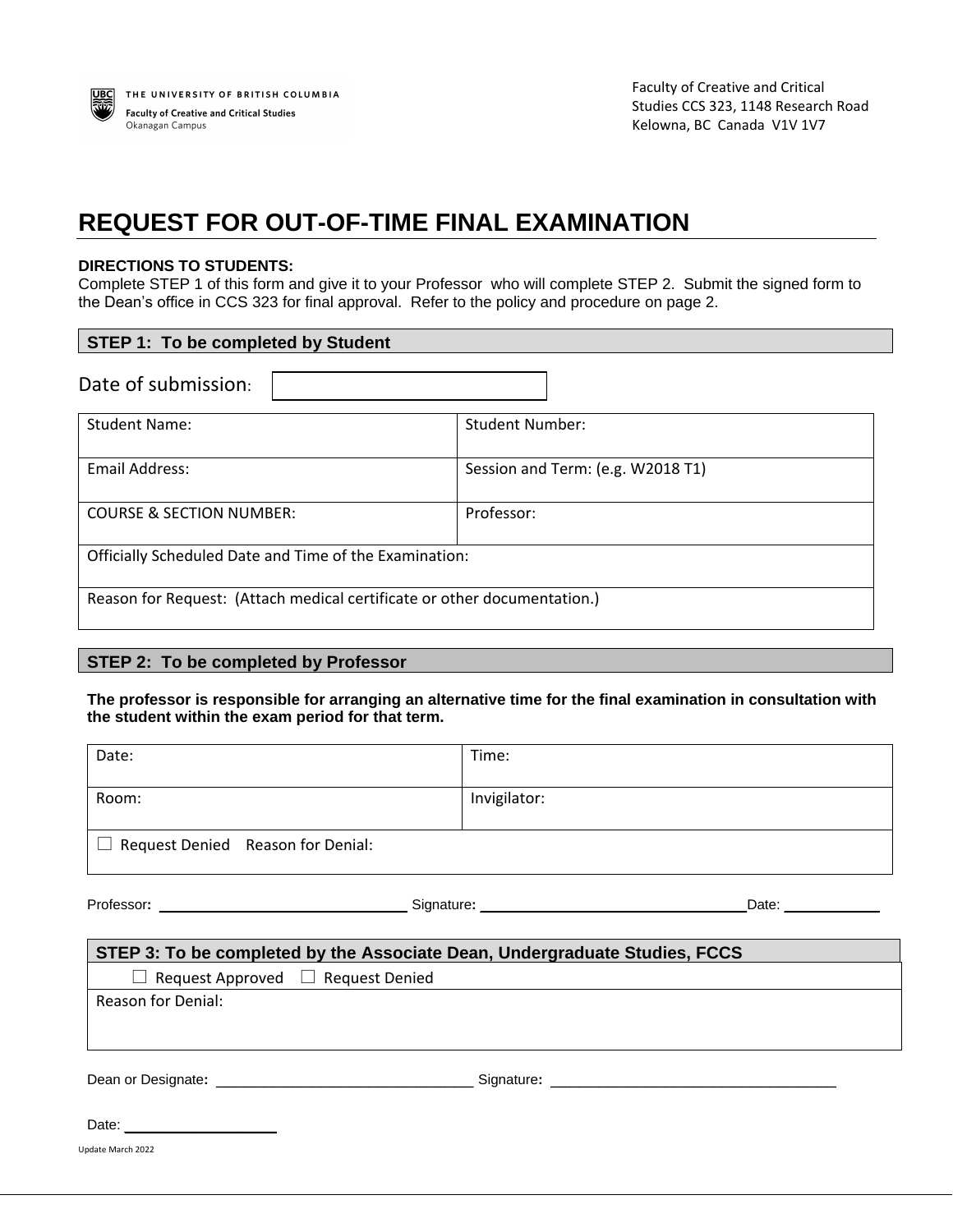

## **REQUEST FOR OUT-OF-TIME FINAL EXAMINATION**

## **DIRECTIONS TO STUDENTS:**

Complete STEP 1 of this form and give it to your Professor who will complete STEP 2. Submit the signed form to the Dean's office in CCS 323 for final approval. Refer to the policy and procedure on page 2.

| <b>STEP 1: To be completed by Student</b>                                |                                   |  |
|--------------------------------------------------------------------------|-----------------------------------|--|
| Date of submission:                                                      |                                   |  |
| <b>Student Name:</b>                                                     | <b>Student Number:</b>            |  |
| Email Address:                                                           | Session and Term: (e.g. W2018 T1) |  |
| <b>COURSE &amp; SECTION NUMBER:</b>                                      | Professor:                        |  |
| Officially Scheduled Date and Time of the Examination:                   |                                   |  |
| Reason for Request: (Attach medical certificate or other documentation.) |                                   |  |

## **STEP 2: To be completed by Professor**

**The professor is responsible for arranging an alternative time for the final examination in consultation with the student within the exam period for that term.** 

| Date:                                                                      | Time:        |  |  |
|----------------------------------------------------------------------------|--------------|--|--|
| Room:                                                                      | Invigilator: |  |  |
| $\Box$ Request Denied Reason for Denial:                                   |              |  |  |
|                                                                            |              |  |  |
| STEP 3: To be completed by the Associate Dean, Undergraduate Studies, FCCS |              |  |  |
| $\Box$ Request Approved $\Box$ Request Denied                              |              |  |  |
| <b>Reason for Denial:</b>                                                  |              |  |  |
|                                                                            |              |  |  |
|                                                                            |              |  |  |
|                                                                            |              |  |  |
| Update March 2022                                                          |              |  |  |